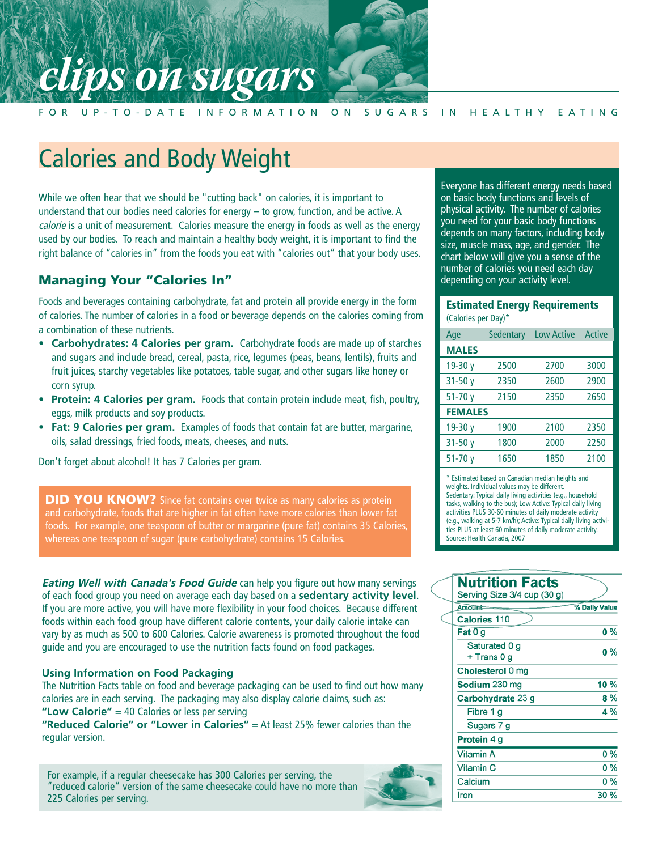# **SUTA FOR UP-TO-DATE INFORMATION**

#### FOR UP-TO-DATE INFORMATION ON SUGARS IN HEALTHY EATING

# Calories and Body Weight

While we often hear that we should be "cutting back" on calories, it is important to understand that our bodies need calories for energy – to grow, function, and be active. A calorie is a unit of measurement. Calories measure the energy in foods as well as the energy used by our bodies. To reach and maintain a healthy body weight, it is important to find the right balance of "calories in" from the foods you eat with "calories out" that your body uses.

### **Managing Your "Calories In"**

Foods and beverages containing carbohydrate, fat and protein all provide energy in the form of calories. The number of calories in a food or beverage depends on the calories coming from a combination of these nutrients.

- **Carbohydrates: 4 Calories per gram.** Carbohydrate foods are made up of starches and sugars and include bread, cereal, pasta, rice, legumes (peas, beans, lentils), fruits and fruit juices, starchy vegetables like potatoes, table sugar, and other sugars like honey or corn syrup.
- **Protein: 4 Calories per gram.** Foods that contain protein include meat, fish, poultry, eggs, milk products and soy products.
- **Fat: 9 Calories per gram.** Examples of foods that contain fat are butter, margarine, oils, salad dressings, fried foods, meats, cheeses, and nuts.

Don't forget about alcohol! It has 7 Calories per gram.

**DID YOU KNOW?** Since fat contains over twice as many calories as protein and carbohydrate, foods that are higher in fat often have more calories than lower fat foods. For example, one teaspoon of butter or margarine (pure fat) contains 35 Calories, whereas one teaspoon of sugar (pure carbohydrate) contains 15 Calories.

**Eating Well with Canada's Food Guide** can help you figure out how many servings of each food group you need on average each day based on a **sedentary activity level**. If you are more active, you will have more flexibility in your food choices. Because different foods within each food group have different calorie contents, your daily calorie intake can vary by as much as 500 to 600 Calories. Calorie awareness is promoted throughout the food guide and you are encouraged to use the nutrition facts found on food packages.

#### **Using Information on Food Packaging**

The Nutrition Facts table on food and beverage packaging can be used to find out how many calories are in each serving. The packaging may also display calorie claims, such as: **"Low Calorie"** = 40 Calories or less per serving

**"Reduced Calorie" or "Lower in Calories"** = At least 25% fewer calories than the regular version.

For example, if a regular cheesecake has 300 Calories per serving, the "reduced calorie" version of the same cheesecake could have no more than 225 Calories per serving.



Everyone has different energy needs based on basic body functions and levels of physical activity. The number of calories you need for your basic body functions depends on many factors, including body size, muscle mass, age, and gender. The chart below will give you a sense of the number of calories you need each day depending on your activity level.

#### **Estimated Energy Requirements**  (Calories per Day)\*

| Age            | Sedentary | <b>Low Active</b> | Active |
|----------------|-----------|-------------------|--------|
| <b>MALES</b>   |           |                   |        |
| 19-30 y        | 2500      | 2700              | 3000   |
| $31 - 50y$     | 2350      | 2600              | 2900   |
| $51 - 70y$     | 2150      | 2350              | 2650   |
| <b>FEMALES</b> |           |                   |        |
| 19-30 y        | 1900      | 2100              | 2350   |
| $31 - 50y$     | 1800      | 2000              | 2250   |
| $51 - 70y$     | 1650      | 1850              | 2100   |

\* Estimated based on Canadian median heights and weights. Individual values may be different. Sedentary: Typical daily living activities (e.g., household tasks, walking to the bus); Low Active: Typical daily living activities PLUS 30-60 minutes of daily moderate activity (e.g., walking at 5-7 km/h); Active: Typical daily living activities PLUS at least 60 minutes of daily moderate activity. Source: Health Canada, 2007

| <b>Nutrition Facts</b><br>Serving Size 3/4 cup (30 g) |               |  |
|-------------------------------------------------------|---------------|--|
| $Amount =$                                            | % Daily Value |  |
| <b>Calories 110</b>                                   |               |  |
| Fat $0\overline{g}$                                   | $0\%$         |  |
| Saturated 0 g                                         | $0\%$         |  |
| + Trans 0 g                                           |               |  |
| Cholesterol 0 mg                                      |               |  |
| Sodium 230 mg                                         | 10 %          |  |
| <b>Carbohydrate 23 g</b>                              | 8 %           |  |
| Fibre 1 g                                             | 4 %           |  |
| Sugars 7 g                                            |               |  |
| <b>Protein 4 g</b>                                    |               |  |
| <b>Vitamin A</b>                                      | 0%            |  |
| Vitamin <sub>C</sub>                                  | 0 %           |  |
| Calcium                                               | 0 %           |  |
| Iron                                                  | 30 %          |  |